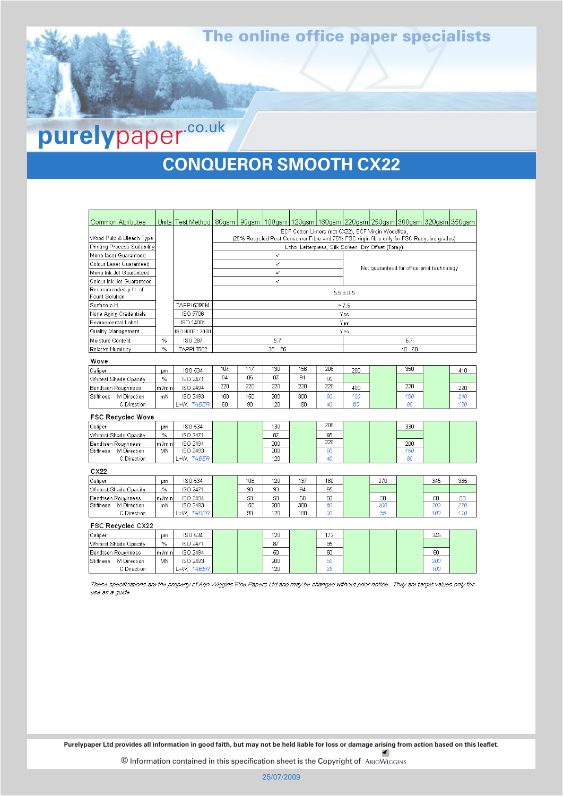# The online office paper specialists

# **purely** paper-co.uk

# **CONQUEROR SMOOTH CX22** CONQUEROR SMOOTH CX22

| Common Attributes                     |                                                     | Units   Test Method   80gsm   90gsm   100gsm   120gsm   160gsm   220gsm   250gsm   300gsm   320gsm   350gsm |                                                                                          |     |     |     |     |                                                     |     |                                            |     |     |  |
|---------------------------------------|-----------------------------------------------------|-------------------------------------------------------------------------------------------------------------|------------------------------------------------------------------------------------------|-----|-----|-----|-----|-----------------------------------------------------|-----|--------------------------------------------|-----|-----|--|
|                                       | ECF Cotton Linters (not CX22), ECF Virgin Woodfree, |                                                                                                             |                                                                                          |     |     |     |     |                                                     |     |                                            |     |     |  |
| Wood Pulp & Bleach Type               |                                                     |                                                                                                             | (25% Recycled Post Consumer Fibre and 75% FSC virgin fibre only for FSC Recycled grades) |     |     |     |     |                                                     |     |                                            |     |     |  |
| Printing Process Suitability          |                                                     |                                                                                                             |                                                                                          |     |     |     |     | Litho, Letterpress, Silk Screen, Dry Offset (Toray) |     |                                            |     |     |  |
| Mono laser Guaranteed                 |                                                     |                                                                                                             | ✓                                                                                        |     |     |     |     |                                                     |     |                                            |     |     |  |
| Colour Laser Guaranteed               |                                                     |                                                                                                             | V                                                                                        |     |     |     |     |                                                     |     | Not guaranteed for office print technology |     |     |  |
| Mono Ink Jet Guaranteed               |                                                     |                                                                                                             | ✓                                                                                        |     |     |     |     |                                                     |     |                                            |     |     |  |
| Colour Ink Jet Guaranteed             |                                                     |                                                                                                             | ✓                                                                                        |     |     |     |     |                                                     |     |                                            |     |     |  |
| Recommended p.H. of<br>Fount Solution |                                                     |                                                                                                             | $5.5 \pm 0.5$                                                                            |     |     |     |     |                                                     |     |                                            |     |     |  |
| Surface p.H.                          |                                                     | <b>TAPPI 5290M</b>                                                                                          | $\approx 7.5$                                                                            |     |     |     |     |                                                     |     |                                            |     |     |  |
| None Aging Credentials                |                                                     | ISO 9706                                                                                                    | Yes                                                                                      |     |     |     |     |                                                     |     |                                            |     |     |  |
| Environmental Label                   |                                                     | ISO 14001                                                                                                   | Yes                                                                                      |     |     |     |     |                                                     |     |                                            |     |     |  |
| Quality Management                    |                                                     | ISO 9002:2000                                                                                               | Yes                                                                                      |     |     |     |     |                                                     |     |                                            |     |     |  |
| Moisture Content                      | $\%$                                                | ISO 287                                                                                                     | 5.7                                                                                      |     |     |     |     | 6.7                                                 |     |                                            |     |     |  |
| Relative Humidity                     | $\%$                                                | <b>TAPPI T502</b>                                                                                           | $35 - 55$                                                                                |     |     |     |     | $40 - 60$                                           |     |                                            |     |     |  |
| Wove                                  |                                                     |                                                                                                             |                                                                                          |     |     |     |     |                                                     |     |                                            |     |     |  |
| Caliper                               | μm                                                  | <b>ISO 534</b>                                                                                              | 104                                                                                      | 117 | 130 | 156 | 208 | 280                                                 |     | 350                                        |     | 410 |  |
| Whitest Shade Opacity                 | %                                                   | ISO 2471                                                                                                    | 84                                                                                       | 86  | 87  | 91  | 95  |                                                     |     |                                            |     |     |  |
| Bendtsen Roughness                    | ml/min                                              | ISO 2494                                                                                                    | 220                                                                                      | 220 | 220 | 220 | 220 | 400                                                 |     | 220                                        |     | 220 |  |
| M Direction<br>Stiffness              | mΝ                                                  | ISO 2493                                                                                                    | 100                                                                                      | 150 | 200 | 300 | 80  | 100                                                 |     | 160                                        |     | 240 |  |
| C Direction                           |                                                     | L+W, TABER                                                                                                  | 60                                                                                       | 90  | 120 | 180 | 40  | 60                                                  |     | 80                                         |     | 120 |  |
| <b>FSC Recycled Wove</b>              |                                                     |                                                                                                             |                                                                                          |     |     |     |     |                                                     |     |                                            |     |     |  |
| Caliper                               | um.                                                 | ISO 534                                                                                                     |                                                                                          |     | 130 |     | 208 |                                                     |     | 330                                        |     |     |  |
| Whitest Shade Opacity                 | %                                                   | ISO 2471                                                                                                    |                                                                                          |     | 87  |     | 95  |                                                     |     |                                            |     |     |  |
| Bendtsen Roughness                    | ml/min                                              | ISO 2494                                                                                                    |                                                                                          |     | 200 |     | 220 |                                                     |     | 200                                        |     |     |  |
| <b>Stiffness</b><br>M Direction       | MN                                                  | <b>ISO 2493</b>                                                                                             |                                                                                          |     | 200 |     | 80  |                                                     |     | 160                                        |     |     |  |
| C Direction                           |                                                     | L+W. TABER                                                                                                  |                                                                                          |     | 120 |     | 40  |                                                     |     | 80                                         |     |     |  |
| CX22                                  |                                                     |                                                                                                             |                                                                                          |     |     |     |     |                                                     |     |                                            |     |     |  |
| Caliper                               | µm                                                  | ISO 534                                                                                                     |                                                                                          | 108 | 120 | 137 | 180 |                                                     | 270 |                                            | 345 | 365 |  |
| Whitest Shade Opacity                 | $\%$                                                | ISO 2471                                                                                                    |                                                                                          | 90  | 93  | 94  | 95  |                                                     |     |                                            |     |     |  |
| Bendtsen Roughness                    | ml/min                                              | <b>ISO 2494</b>                                                                                             |                                                                                          | 50  | 50  | 50  | 50  |                                                     | 50  |                                            | 60  | 60  |  |
| M Direction<br><b>Stiffness</b>       | mN                                                  | ISO 2493                                                                                                    |                                                                                          | 150 | 200 | 300 | 60  |                                                     | 100 |                                            | 200 | 220 |  |
| C Direction                           |                                                     | L+W. TABER                                                                                                  |                                                                                          | 90  | 120 | 180 | 30  |                                                     | 55  |                                            | 100 | 110 |  |
| <b>FSC Recycled CX22</b>              |                                                     |                                                                                                             |                                                                                          |     |     |     |     |                                                     |     |                                            |     |     |  |
| Caliper                               | µm                                                  | ISO 534                                                                                                     |                                                                                          |     | 120 |     | 172 |                                                     |     |                                            | 345 |     |  |
| Whitest Shade Opacity                 | $\%$                                                | ISO 2471                                                                                                    |                                                                                          |     | 87  |     | 95  |                                                     |     |                                            |     |     |  |
| Bendtsen Roughness                    | ml/min                                              | <b>ISO 2494</b>                                                                                             |                                                                                          |     | 50  |     | 50  |                                                     |     |                                            | 60  |     |  |
| M Direction<br>Stiffness              | MN                                                  | ISO 2493                                                                                                    |                                                                                          |     | 200 |     | 50  |                                                     |     |                                            | 200 |     |  |
| C Direction                           |                                                     | L+W. TABER                                                                                                  |                                                                                          |     | 120 |     | 28  |                                                     |     |                                            | 100 |     |  |

These specifications are the property of Arjo Wiggins Fine Papers Ltd and may be changed without prior notice. They are target values only for use as a guide.

**Purelypaper Ltd provides all information in good faith, but may not be held liable for loss or damage arising from action based on this leaflet.** 

© Information contained in this specification sheet is the Copyright of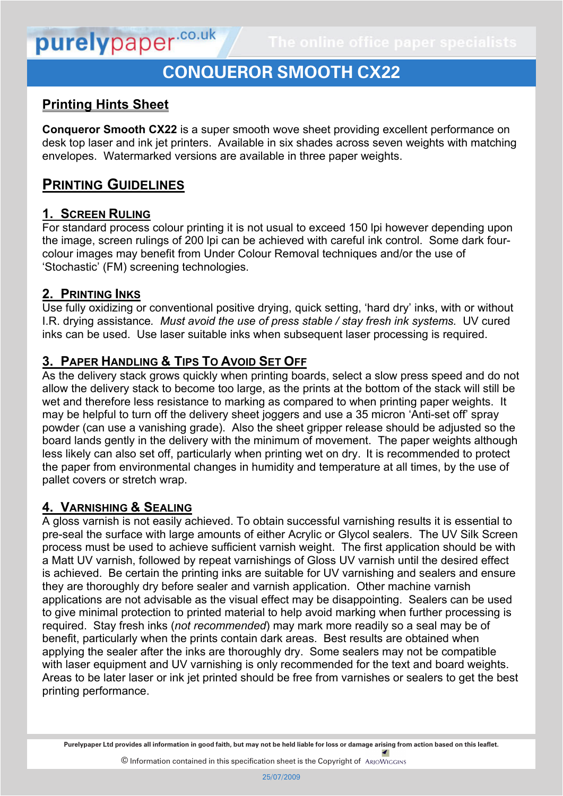# purelypaper.co.uk

# **CONQUEROR SMOOTH CX22**

## **Printing Hints Sheet**

**Conqueror Smooth CX22** is a super smooth wove sheet providing excellent performance on desk top laser and ink jet printers. Available in six shades across seven weights with matching envelopes. Watermarked versions are available in three paper weights.

## **PRINTING GUIDELINES**

## **1. SCREEN RULING**

For standard process colour printing it is not usual to exceed 150 lpi however depending upon the image, screen rulings of 200 lpi can be achieved with careful ink control. Some dark fourcolour images may benefit from Under Colour Removal techniques and/or the use of 'Stochastic' (FM) screening technologies.

#### **2. PRINTING INKS**

Use fully oxidizing or conventional positive drying, quick setting, 'hard dry' inks, with or without I.R. drying assistance*. Must avoid the use of press stable / stay fresh ink systems.* UV cured inks can be used. Use laser suitable inks when subsequent laser processing is required.

## **3. PAPER HANDLING & TIPS TO AVOID SET OFF**

As the delivery stack grows quickly when printing boards, select a slow press speed and do not allow the delivery stack to become too large, as the prints at the bottom of the stack will still be wet and therefore less resistance to marking as compared to when printing paper weights. It may be helpful to turn off the delivery sheet joggers and use a 35 micron 'Anti-set off' spray powder (can use a vanishing grade). Also the sheet gripper release should be adjusted so the board lands gently in the delivery with the minimum of movement. The paper weights although less likely can also set off, particularly when printing wet on dry. It is recommended to protect the paper from environmental changes in humidity and temperature at all times, by the use of pallet covers or stretch wrap.

## **4. VARNISHING & SEALING**

**5. FINISHING**

A gloss varnish is not easily achieved. To obtain successful varnishing results it is essential to pre-seal the surface with large amounts of either Acrylic or Glycol sealers. The UV Silk Screen process must be used to achieve sufficient varnish weight. The first application should be with a Matt UV varnish, followed by repeat varnishings of Gloss UV varnish until the desired effect is achieved. Be certain the printing inks are suitable for UV varnishing and sealers and ensure they are thoroughly dry before sealer and varnish application. Other machine varnish applications are not advisable as the visual effect may be disappointing. Sealers can be used to give minimal protection to printed material to help avoid marking when further processing is required. Stay fresh inks (*not recommended*) may mark more readily so a seal may be of benefit, particularly when the prints contain dark areas. Best results are obtained when applying the sealer after the inks are thoroughly dry. Some sealers may not be compatible with laser equipment and UV varnishing is only recommended for the text and board weights. Areas to be later laser or ink jet printed should be free from varnishes or sealers to get the best printing performance.

**Purelypaper Ltd provides all information in good faith, but may not be held liable for loss or damage arising from action based on this leaflet.**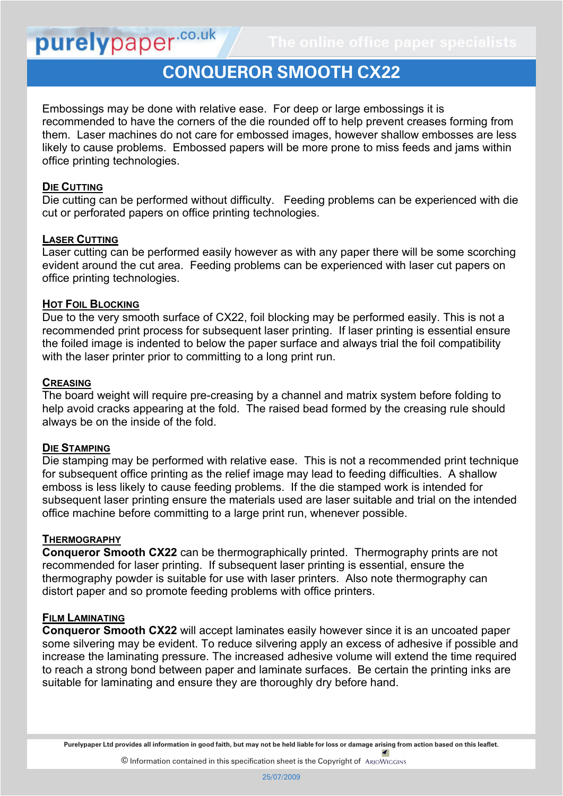## **CONQUEROR SMOOTH CX22 Printing Hints Sheet**

Embossings may be done with relative ease. For deep or large embossings it is recommended to have the corners of the die rounded off to help prevent creases forming from them. Laser machines do not care for embossed images, however shallow embosses are less likely to cause problems. Embossed papers will be more prone to miss feeds and jams within office printing technologies.

#### **DIE CUTTING**

purelypaper.co.uk

Die cutting can be performed without difficulty. Feeding problems can be experienced with die cut or perforated papers on office printing technologies.

#### **LASER CUTTING**

Laser cutting can be performed easily however as with any paper there will be some scorching evident around the cut area. Feeding problems can be experienced with laser cut papers on office printing technologies.

#### **HOT FOIL BLOCKING**

Due to the very smooth surface of CX22, foil blocking may be performed easily. This is not a recommended print process for subsequent laser printing. If laser printing is essential ensure the foiled image is indented to below the paper surface and always trial the foil compatibility with the laser printer prior to committing to a long print run.

#### **CREASING**

The board weight will require pre-creasing by a channel and matrix system before folding to help avoid cracks appearing at the fold. The raised bead formed by the creasing rule should always be on the inside of the fold.

#### **DIE STAMPING**

Die stamping may be performed with relative ease. This is not a recommended print technique for subsequent office printing as the relief image may lead to feeding difficulties. A shallow emboss is less likely to cause feeding problems. If the die stamped work is intended for subsequent laser printing ensure the materials used are laser suitable and trial on the intended office machine before committing to a large print run, whenever possible.

#### **THERMOGRAPHY**

**Conqueror Smooth CX22** can be thermographically printed. Thermography prints are not recommended for laser printing. If subsequent laser printing is essential, ensure the thermography powder is suitable for use with laser printers. Also note thermography can distort paper and so promote feeding problems with office printers.

#### **FILM LAMINATING**

**Conqueror Smooth CX22** will accept laminates easily however since it is an uncoated paper some silvering may be evident. To reduce silvering apply an excess of adhesive if possible and increase the laminating pressure. The increased adhesive volume will extend the time required to reach a strong bond between paper and laminate surfaces. Be certain the printing inks are suitable for laminating and ensure they are thoroughly dry before hand.

**Purelypaper Ltd provides all information in good faith, but may not be held liable for loss or damage arising from action based on this leaflet. DESK TOP PERFORMANCE**